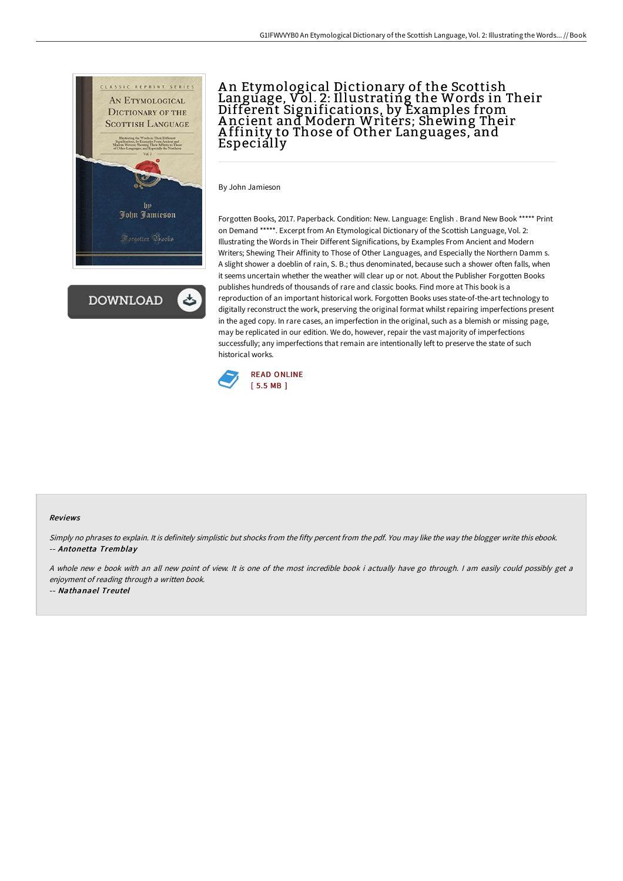

**DOWNLOAD** 

## A n Etymological Dictionary of the Scottish Language, Vol. 2: Illustrating the Words in Their Different Significations, by Examples from A ncient and Modern Writers; Shewing Their A ffinity to Those of Other Languages, and Especially

By John Jamieson

Forgotten Books, 2017. Paperback. Condition: New. Language: English . Brand New Book \*\*\*\*\* Print on Demand \*\*\*\*\*. Excerpt from An Etymological Dictionary of the Scottish Language, Vol. 2: Illustrating the Words in Their Different Significations, by Examples From Ancient and Modern Writers; Shewing Their Affinity to Those of Other Languages, and Especially the Northern Damm s. A slight shower a doeblin of rain, S. B.; thus denominated, because such a shower often falls, when it seems uncertain whether the weather will clear up or not. About the Publisher Forgotten Books publishes hundreds of thousands of rare and classic books. Find more at This book is a reproduction of an important historical work. Forgotten Books uses state-of-the-art technology to digitally reconstruct the work, preserving the original format whilst repairing imperfections present in the aged copy. In rare cases, an imperfection in the original, such as a blemish or missing page, may be replicated in our edition. We do, however, repair the vast majority of imperfections successfully; any imperfections that remain are intentionally left to preserve the state of such historical works.



## Reviews

Simply no phrases to explain. It is definitely simplistic but shocks from the fifty percent from the pdf. You may like the way the blogger write this ebook. -- Antonetta Tremblay

<sup>A</sup> whole new <sup>e</sup> book with an all new point of view. It is one of the most incredible book i actually have go through. <sup>I</sup> am easily could possibly get <sup>a</sup> enjoyment of reading through <sup>a</sup> written book.

-- Nathanael Treutel